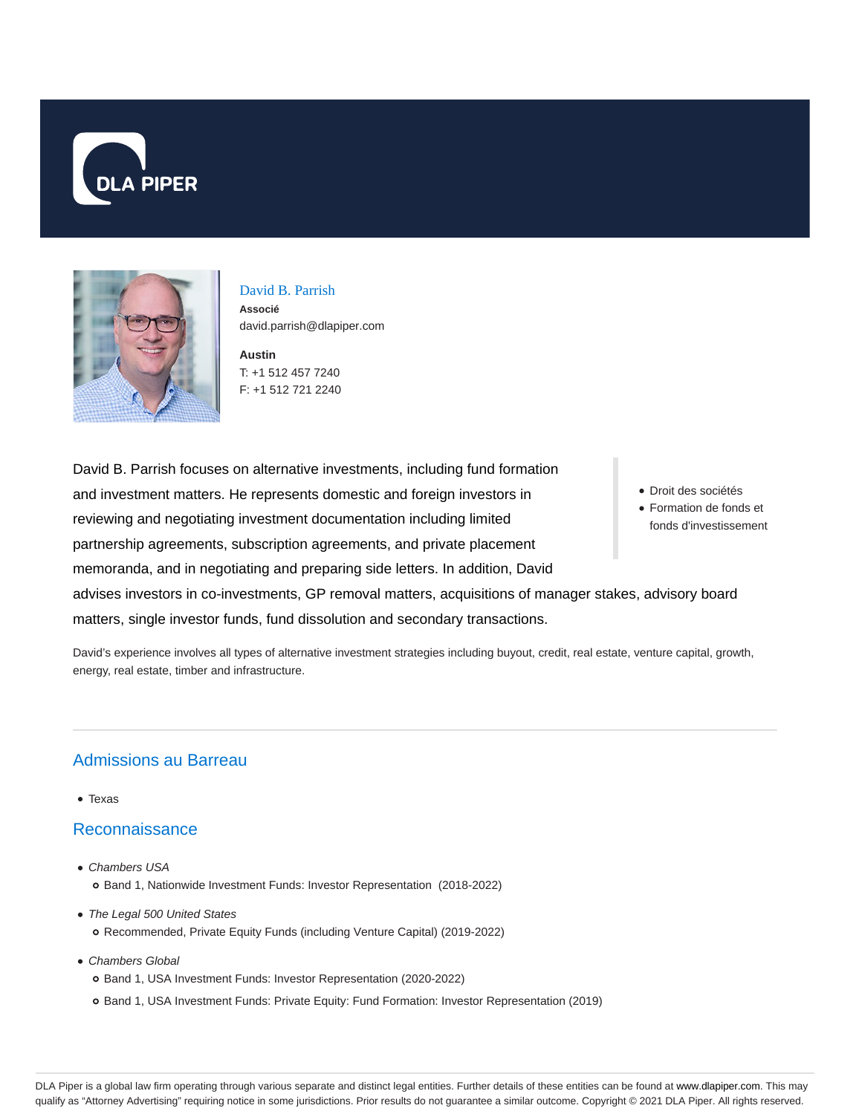



David B. Parrish **Associé** david.parrish@dlapiper.com

**Austin** T: +1 512 457 7240 F: +1 512 721 2240

David B. Parrish focuses on alternative investments, including fund formation and investment matters. He represents domestic and foreign investors in reviewing and negotiating investment documentation including limited partnership agreements, subscription agreements, and private placement memoranda, and in negotiating and preparing side letters. In addition, David advises investors in co-investments, GP removal matters, acquisitions of manager stakes, advisory board matters, single investor funds, fund dissolution and secondary transactions.

David's experience involves all types of alternative investment strategies including buyout, credit, real estate, venture capital, growth, energy, real estate, timber and infrastructure.

#### Admissions au Barreau

• Texas

#### Reconnaissance

- Chambers USA Band 1, Nationwide Investment Funds: Investor Representation (2018-2022)
- The Legal 500 United States Recommended, Private Equity Funds (including Venture Capital) (2019-2022)
- Chambers Global Band 1, USA Investment Funds: Investor Representation (2020-2022)
	- o Band 1, USA Investment Funds: Private Equity: Fund Formation: Investor Representation (2019)
- Droit des sociétés
- Formation de fonds et fonds d'investissement